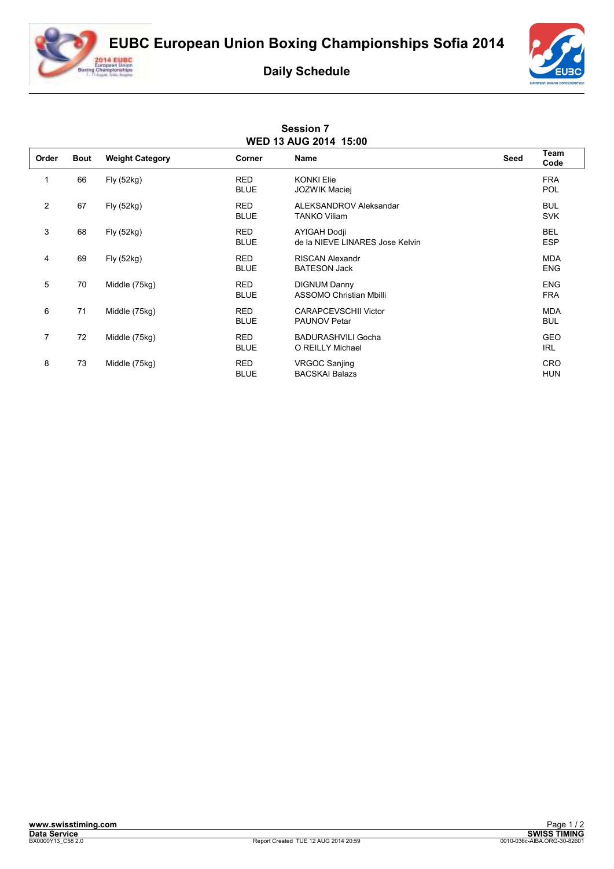**EUBC European Union Boxing Championships Sofia 2014**



## **Daily Schedule**



|                | <b>Session 7</b><br>WED 13 AUG 2014 15:00 |                        |                           |                                                        |             |                          |  |  |  |  |
|----------------|-------------------------------------------|------------------------|---------------------------|--------------------------------------------------------|-------------|--------------------------|--|--|--|--|
| Order          | <b>Bout</b>                               | <b>Weight Category</b> | Corner                    | <b>Name</b>                                            | <b>Seed</b> | Team<br>Code             |  |  |  |  |
| 1              | 66                                        | Fly (52kg)             | <b>RED</b><br><b>BLUE</b> | <b>KONKI Elie</b><br><b>JOZWIK Maciej</b>              |             | <b>FRA</b><br><b>POL</b> |  |  |  |  |
| $\overline{2}$ | 67                                        | Fly (52kg)             | <b>RED</b><br><b>BLUE</b> | ALEKSANDROV Aleksandar<br><b>TANKO Viliam</b>          |             | <b>BUL</b><br><b>SVK</b> |  |  |  |  |
| 3              | 68                                        | Fly (52kg)             | <b>RED</b><br><b>BLUE</b> | <b>AYIGAH Dodji</b><br>de la NIEVE LINARES Jose Kelvin |             | <b>BEL</b><br><b>ESP</b> |  |  |  |  |
| 4              | 69                                        | Fly (52kg)             | <b>RED</b><br><b>BLUE</b> | <b>RISCAN Alexandr</b><br><b>BATESON Jack</b>          |             | <b>MDA</b><br><b>ENG</b> |  |  |  |  |
| 5              | 70                                        | Middle (75kg)          | <b>RED</b><br><b>BLUE</b> | <b>DIGNUM Danny</b><br><b>ASSOMO Christian Mbilli</b>  |             | <b>ENG</b><br><b>FRA</b> |  |  |  |  |
| 6              | 71                                        | Middle (75kg)          | <b>RED</b><br><b>BLUE</b> | <b>CARAPCEVSCHII Victor</b><br><b>PAUNOV Petar</b>     |             | <b>MDA</b><br><b>BUL</b> |  |  |  |  |
| $\overline{7}$ | 72                                        | Middle (75kg)          | <b>RED</b><br><b>BLUE</b> | <b>BADURASHVILI Gocha</b><br>O REILLY Michael          |             | <b>GEO</b><br>IRL        |  |  |  |  |
| 8              | 73                                        | Middle (75kg)          | <b>RED</b><br><b>BLUE</b> | <b>VRGOC Sanjing</b><br><b>BACSKAI Balazs</b>          |             | <b>CRO</b><br><b>HUN</b> |  |  |  |  |